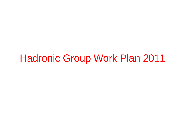# Hadronic Group Work Plan 2011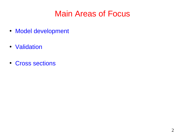#### Main Areas of Focus

- Model development
- Validation
- Cross sections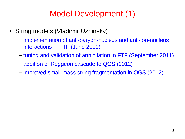#### Model Development (1)

- String models (Vladimir Uzhinsky)
	- implementation of anti-baryon-nucleus and anti-ion-nucleus interactions in FTF (June 2011)
	- tuning and validation of annihilation in FTF (September 2011)
	- addition of Reggeon cascade to QGS (2012)
	- improved small-mass string fragmentation in QGS (2012)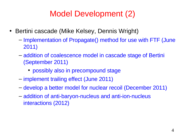#### Model Development (2)

- Bertini cascade (Mike Kelsey, Dennis Wright)
	- Implementation of Propagate() method for use with FTF (June 2011)
	- addition of coalescence model in cascade stage of Bertini (September 2011)
		- possibly also in precompound stage
	- implement trailing effect (June 2011)
	- develop a better model for nuclear recoil (December 2011)
	- addition of anti-baryon-nucleus and anti-ion-nucleus interactions (2012)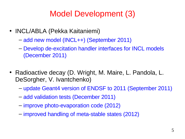#### Model Development (3)

- INCL/ABLA (Pekka Kaitaniemi)
	- add new model (INCL++) (September 2011)
	- Develop de-excitation handler interfaces for INCL models (December 2011)
- Radioactive decay (D. Wright, M. Maire, L. Pandola, L. DeSorgher, V. Ivantchenko)
	- update Geant4 version of ENDSF to 2011 (September 2011)
	- add validation tests (December 2011)
	- improve photo-evaporation code (2012)
	- improved handling of meta-stable states (2012)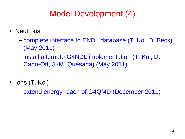#### Model Development (4)

- Neutrons
	- complete interface to ENDL database (T. Koi, B. Beck) (May 2011)
	- install alternate G4NDL implementation (T. Koi, D. Cano-Ott, J.-M. Quesada) (May 2011)
- Ions (T. Koi)
	- extend energy reach of G4QMD (December 2011)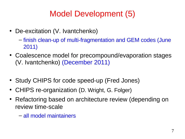#### Model Development (5)

- De-excitation (V. Ivantchenko)
	- finish clean-up of multi-fragmentation and GEM codes (June 2011)
- Coalescence model for precompound/evaporation stages (V. Ivantchenko) (December 2011)
- Study CHIPS for code speed-up (Fred Jones)
- CHIPS re-organization (D. Wright, G. Folger)
- Refactoring based on architecture review (depending on review time-scale
	- all model maintainers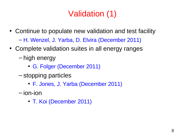## Validation (1)

- Continue to populate new validation and test facility
	- H. Wenzel, J. Yarba, D. Elvira (December 2011)
- Complete validation suites in all energy ranges
	- high energy
		- G. Folger (December 2011)
	- stopping particles
		- F. Jones, J. Yarba (December 2011)
	- ion-ion
		- T. Koi (December 2011)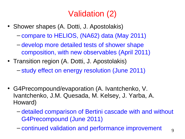## Validation (2)

- Shower shapes (A. Dotti, J. Apostolakis)
	- compare to HELIOS, (NA62) data (May 2011)
	- develop more detailed tests of shower shape composition, with new observables (April 2011)
- Transition region (A. Dotti, J. Apostolakis)
	- study effect on energy resolution (June 2011)
- G4Precompound/evaporation (A. Ivantchenko, V. Ivantchenko, J.M. Quesada, M. Kelsey, J. Yarba, A. Howard)
	- detailed comparison of Bertini cascade with and without G4Precompound (June 2011)
	- continued validation and performance improvement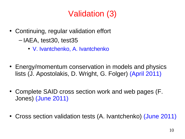## Validation (3)

- Continuing, regular validation effort
	- IAEA, test30, test35
		- V. Ivantchenko, A. Ivantchenko
- Energy/momentum conservation in models and physics lists (J. Apostolakis, D. Wright, G. Folger) (April 2011)
- Complete SAID cross section work and web pages (F. Jones) (June 2011)
- Cross section validation tests (A. Ivantchenko) (June 2011)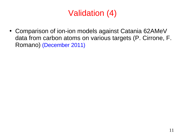## Validation (4)

• Comparison of ion-ion models against Catania 62AMeV data from carbon atoms on various targets (P. Cirrone, F. Romano) (December 2011)